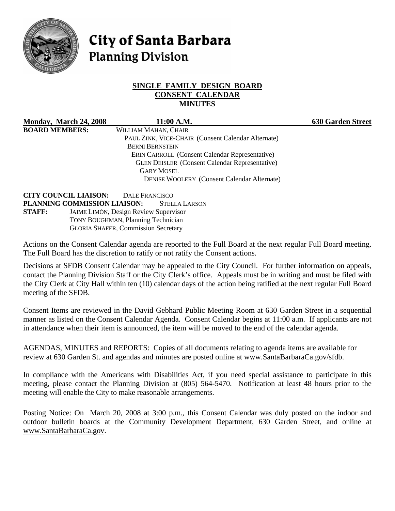

# **City of Santa Barbara Planning Division**

#### **SINGLE FAMILY DESIGN BOARD CONSENT CALENDAR MINUTES**

**Monday, March 24, 2008 11:00 A.M. 630 Garden Street BOARD MEMBERS:** WILLIAM MAHAN, CHAIR

 PAUL ZINK, VICE-CHAIR (Consent Calendar Alternate) BERNI BERNSTEIN ERIN CARROLL (Consent Calendar Representative) GLEN DEISLER (Consent Calendar Representative) GARY MOSEL DENISE WOOLERY (Consent Calendar Alternate)

**CITY COUNCIL LIAISON:** DALE FRANCISCO **PLANNING COMMISSION LIAISON:** STELLA LARSON **STAFF:** JAIME LIMÓN, Design Review Supervisor TONY BOUGHMAN, Planning Technician GLORIA SHAFER, Commission Secretary

Actions on the Consent Calendar agenda are reported to the Full Board at the next regular Full Board meeting. The Full Board has the discretion to ratify or not ratify the Consent actions.

Decisions at SFDB Consent Calendar may be appealed to the City Council. For further information on appeals, contact the Planning Division Staff or the City Clerk's office. Appeals must be in writing and must be filed with the City Clerk at City Hall within ten (10) calendar days of the action being ratified at the next regular Full Board meeting of the SFDB.

Consent Items are reviewed in the David Gebhard Public Meeting Room at 630 Garden Street in a sequential manner as listed on the Consent Calendar Agenda. Consent Calendar begins at 11:00 a.m. If applicants are not in attendance when their item is announced, the item will be moved to the end of the calendar agenda.

AGENDAS, MINUTES and REPORTS: Copies of all documents relating to agenda items are available for review at 630 Garden St. and agendas and minutes are posted online at www.SantaBarbaraCa.gov/sfdb.

In compliance with the Americans with Disabilities Act, if you need special assistance to participate in this meeting, please contact the Planning Division at (805) 564-5470. Notification at least 48 hours prior to the meeting will enable the City to make reasonable arrangements.

Posting Notice: On March 20, 2008 at 3:00 p.m., this Consent Calendar was duly posted on the indoor and outdoor bulletin boards at the Community Development Department, 630 Garden Street, and online at www.SantaBarbaraCa.gov.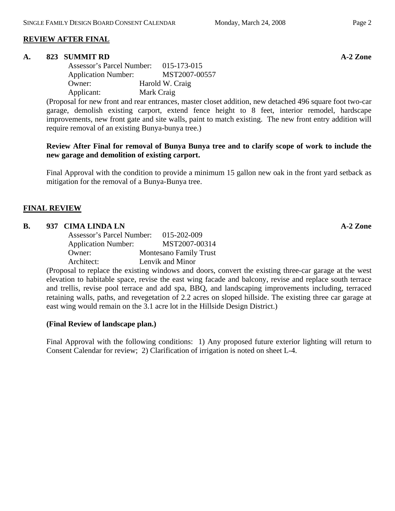## **REVIEW AFTER FINAL**

#### A. 823 SUMMIT RD **A-2** Zone

 Assessor's Parcel Number: 015-173-015 Application Number: MST2007-00557 Owner: Harold W. Craig Applicant: Mark Craig

(Proposal for new front and rear entrances, master closet addition, new detached 496 square foot two-car garage, demolish existing carport, extend fence height to 8 feet, interior remodel, hardscape improvements, new front gate and site walls, paint to match existing. The new front entry addition will require removal of an existing Bunya-bunya tree.)

#### **Review After Final for removal of Bunya Bunya tree and to clarify scope of work to include the new garage and demolition of existing carport.**

Final Approval with the condition to provide a minimum 15 gallon new oak in the front yard setback as mitigation for the removal of a Bunya-Bunya tree.

## **FINAL REVIEW**

### **B.** 937 CIMA LINDA LN **A-2 Zone**

| Assessor's Parcel Number:  | 015-202-009                   |
|----------------------------|-------------------------------|
| <b>Application Number:</b> | MST2007-00314                 |
| Owner:                     | <b>Montesano Family Trust</b> |
| Architect:                 | Lenvik and Minor              |

(Proposal to replace the existing windows and doors, convert the existing three-car garage at the west elevation to habitable space, revise the east wing facade and balcony, revise and replace south terrace and trellis, revise pool terrace and add spa, BBQ, and landscaping improvements including, terraced retaining walls, paths, and revegetation of 2.2 acres on sloped hillside. The existing three car garage at east wing would remain on the 3.1 acre lot in the Hillside Design District.)

#### **(Final Review of landscape plan.)**

Final Approval with the following conditions: 1) Any proposed future exterior lighting will return to Consent Calendar for review; 2) Clarification of irrigation is noted on sheet L-4.